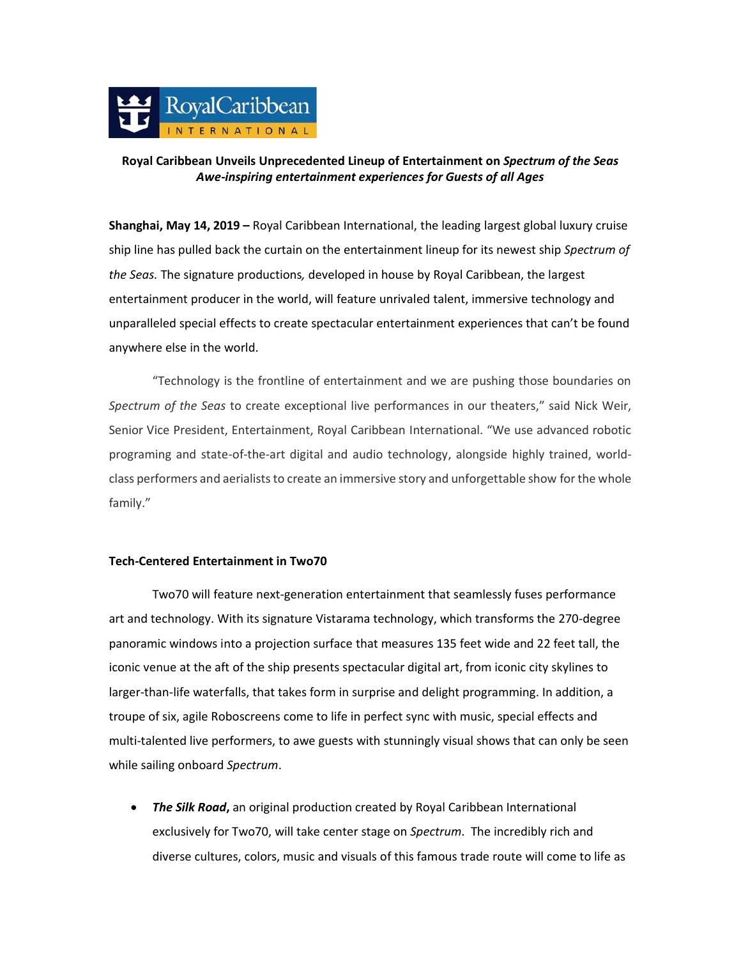

## **Royal Caribbean Unveils Unprecedented Lineup of Entertainment on** *Spectrum of the Seas Awe-inspiring entertainment experiences for Guests of all Ages*

**Shanghai, May 14, 2019 –** Royal Caribbean International, the leading largest global luxury cruise ship line has pulled back the curtain on the entertainment lineup for its newest ship *Spectrum of the Seas.* The signature productions*,* developed in house by Royal Caribbean, the largest entertainment producer in the world, will feature unrivaled talent, immersive technology and unparalleled special effects to create spectacular entertainment experiences that can't be found anywhere else in the world.

"Technology is the frontline of entertainment and we are pushing those boundaries on *Spectrum of the Seas* to create exceptional live performances in our theaters," said Nick Weir, Senior Vice President, Entertainment, Royal Caribbean International. "We use advanced robotic programing and state-of-the-art digital and audio technology, alongside highly trained, worldclass performers and aerialists to create an immersive story and unforgettable show for the whole family."

## **Tech-Centered Entertainment in Two70**

Two70 will feature next-generation entertainment that seamlessly fuses performance art and technology. With its signature Vistarama technology, which transforms the 270-degree panoramic windows into a projection surface that measures 135 feet wide and 22 feet tall, the iconic venue at the aft of the ship presents spectacular digital art, from iconic city skylines to larger-than-life waterfalls, that takes form in surprise and delight programming. In addition, a troupe of six, agile Roboscreens come to life in perfect sync with music, special effects and multi-talented live performers, to awe guests with stunningly visual shows that can only be seen while sailing onboard *Spectrum*.

• *The Silk Road***,** an original production created by Royal Caribbean International exclusively for Two70, will take center stage on *Spectrum*. The incredibly rich and diverse cultures, colors, music and visuals of this famous trade route will come to life as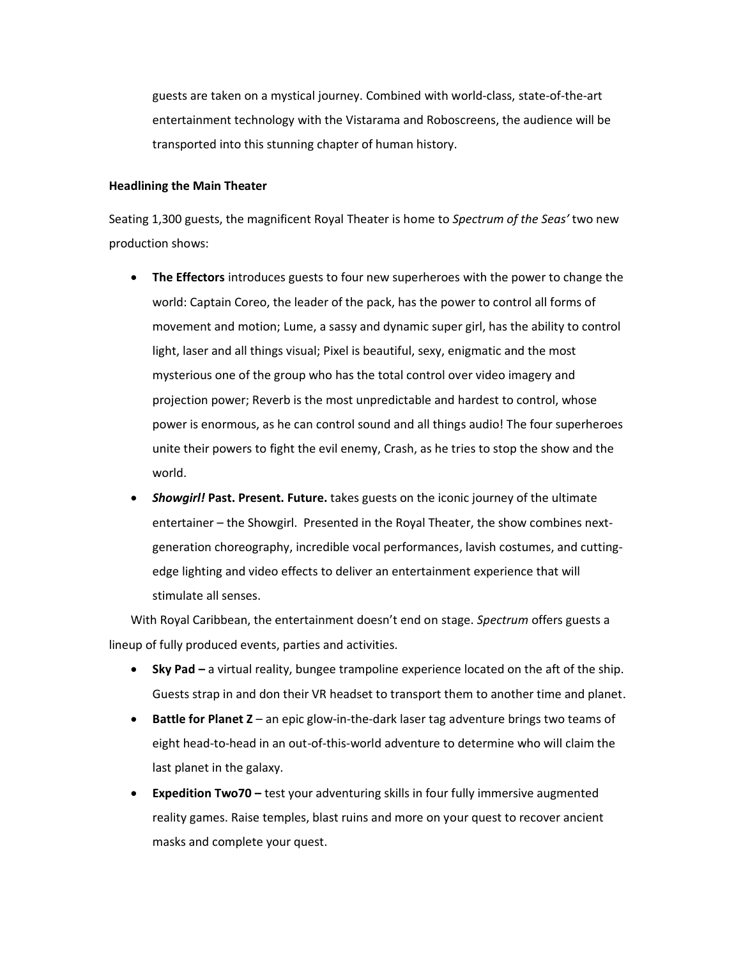guests are taken on a mystical journey. Combined with world-class, state-of-the-art entertainment technology with the Vistarama and Roboscreens, the audience will be transported into this stunning chapter of human history.

## **Headlining the Main Theater**

Seating 1,300 guests, the magnificent Royal Theater is home to *Spectrum of the Seas'* two new production shows:

- **The Effectors** introduces guests to four new superheroes with the power to change the world: Captain Coreo, the leader of the pack, has the power to control all forms of movement and motion; Lume, a sassy and dynamic super girl, has the ability to control light, laser and all things visual; Pixel is beautiful, sexy, enigmatic and the most mysterious one of the group who has the total control over video imagery and projection power; Reverb is the most unpredictable and hardest to control, whose power is enormous, as he can control sound and all things audio! The four superheroes unite their powers to fight the evil enemy, Crash, as he tries to stop the show and the world.
- *Showgirl!* **Past. Present. Future.** takes guests on the iconic journey of the ultimate entertainer – the Showgirl. Presented in the Royal Theater, the show combines nextgeneration choreography, incredible vocal performances, lavish costumes, and cuttingedge lighting and video effects to deliver an entertainment experience that will stimulate all senses.

With Royal Caribbean, the entertainment doesn't end on stage. *Spectrum* offers guests a lineup of fully produced events, parties and activities.

- **Sky Pad –** a virtual reality, bungee trampoline experience located on the aft of the ship. Guests strap in and don their VR headset to transport them to another time and planet.
- **Battle for Planet Z** an epic glow-in-the-dark laser tag adventure brings two teams of eight head-to-head in an out-of-this-world adventure to determine who will claim the last planet in the galaxy.
- **Expedition Two70 –** test your adventuring skills in four fully immersive augmented reality games. Raise temples, blast ruins and more on your quest to recover ancient masks and complete your quest.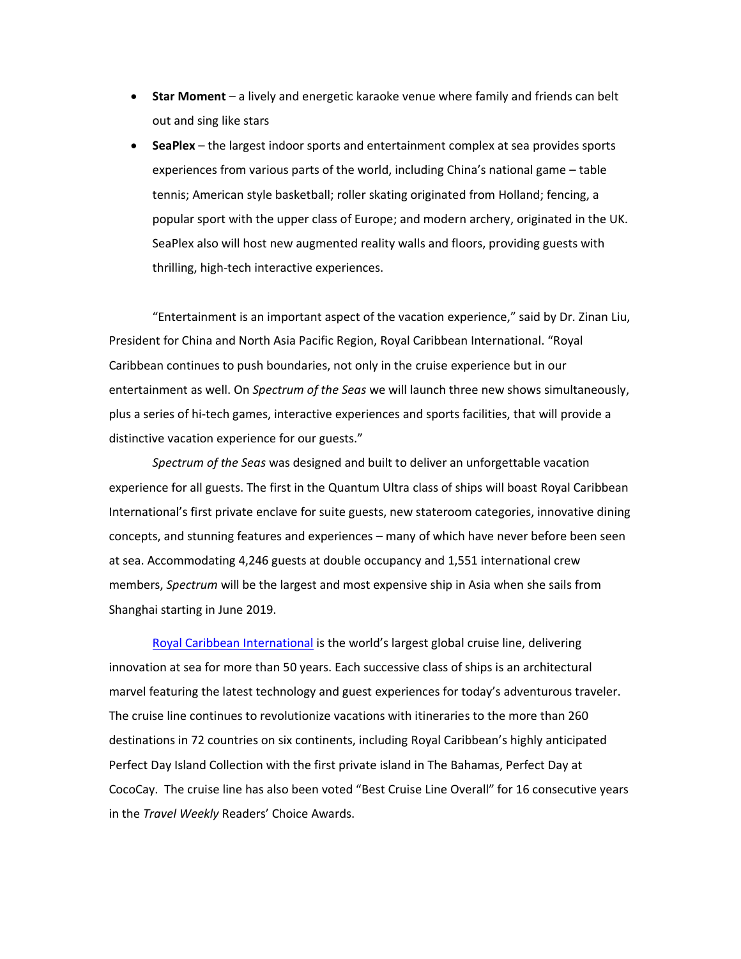- **Star Moment** a lively and energetic karaoke venue where family and friends can belt out and sing like stars
- **SeaPlex** the largest indoor sports and entertainment complex at sea provides sports experiences from various parts of the world, including China's national game – table tennis; American style basketball; roller skating originated from Holland; fencing, a popular sport with the upper class of Europe; and modern archery, originated in the UK. SeaPlex also will host new augmented reality walls and floors, providing guests with thrilling, high-tech interactive experiences.

"Entertainment is an important aspect of the vacation experience," said by Dr. Zinan Liu, President for China and North Asia Pacific Region, Royal Caribbean International. "Royal Caribbean continues to push boundaries, not only in the cruise experience but in our entertainment as well. On *Spectrum of the Seas* we will launch three new shows simultaneously, plus a series of hi-tech games, interactive experiences and sports facilities, that will provide a distinctive vacation experience for our guests."

*Spectrum of the Seas* was designed and built to deliver an unforgettable vacation experience for all guests. The first in the Quantum Ultra class of ships will boast Royal Caribbean International's first private enclave for suite guests, new stateroom categories, innovative dining concepts, and stunning features and experiences – many of which have never before been seen at sea. Accommodating 4,246 guests at double occupancy and 1,551 international crew members, *Spectrum* will be the largest and most expensive ship in Asia when she sails from Shanghai starting in June 2019.

[Royal Caribbean International](https://protect-us.mimecast.com/s/mtyuCW61YBCPYyPlF6hlf5?domain=urldefense.proofpoint.com)</u> is the world's largest global cruise line, delivering innovation at sea for more than 50 years. Each successive class of ships is an architectural marvel featuring the latest technology and guest experiences for today's adventurous traveler. The cruise line continues to revolutionize vacations with itineraries to the more than 260 destinations in 72 countries on six continents, including Royal Caribbean's highly anticipated Perfect Day Island Collection with the first private island in The Bahamas, Perfect Day at CocoCay. The cruise line has also been voted "Best Cruise Line Overall" for 16 consecutive years in the *Travel Weekly* Readers' Choice Awards.